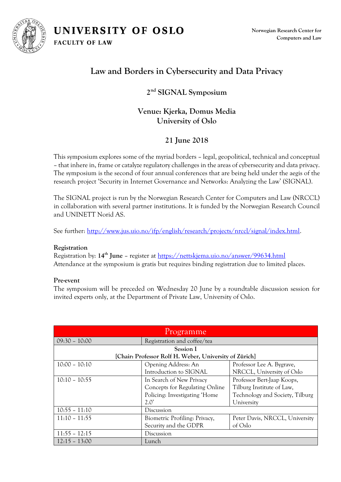UNIVERSITY OF OSLO

**FACULTY OF LAW** 



**Norwegian Research Center for Computers and Law**

# **Law and Borders in Cybersecurity and Data Privacy**

### **2 nd SIGNAL Symposium**

## **Venue: Kjerka, Domus Media University of Oslo**

# **21 June 2018**

This symposium explores some of the myriad borders – legal, geopolitical, technical and conceptual – that inhere in, frame or catalyze regulatory challenges in the areas of cybersecurity and data privacy. The symposium is the second of four annual conferences that are being held under the aegis of the research project 'Security in Internet Governance and Networks: Analyzing the Law' (SIGNAL).

The SIGNAL project is run by the Norwegian Research Center for Computers and Law (NRCCL) in collaboration with several partner institutions. It is funded by the Norwegian Research Council and UNINETT Norid AS.

See further: [http://www.jus.uio.no/ifp/english/research/projects/nrccl/signal/index.html.](http://www.jus.uio.no/ifp/english/research/projects/nrccl/signal/index.html)

### **Registration**

Registration by: **14 th June** – register at<https://nettskjema.uio.no/answer/99634.html> Attendance at the symposium is gratis but requires binding registration due to limited places.

### **Pre-event**

The symposium will be preceded on Wednesday 20 June by a roundtable discussion session for invited experts only, at the Department of Private Law, University of Oslo.

| Programme                                              |                                |                                 |  |
|--------------------------------------------------------|--------------------------------|---------------------------------|--|
| $09:30 - 10:00$                                        | Registration and coffee/tea    |                                 |  |
| Session I                                              |                                |                                 |  |
| [Chair: Professor Rolf H. Weber, University of Zürich] |                                |                                 |  |
| $10:00 - 10:10$                                        | Opening Address: An            | Professor Lee A. Bygrave,       |  |
|                                                        | Introduction to SIGNAL         | NRCCL, University of Oslo       |  |
| $10:10 - 10:55$                                        | In Search of New Privacy       | Professor Bert-Jaap Koops,      |  |
|                                                        | Concepts for Regulating Online | Tilburg Institute of Law,       |  |
|                                                        | Policing: Investigating 'Home  | Technology and Society, Tilburg |  |
|                                                        | $2.0^\circ$                    | University                      |  |
| $10:55 - 11:10$                                        | Discussion                     |                                 |  |
| $11:10 - 11:55$                                        | Biometric Profiling: Privacy,  | Peter Davis, NRCCL, University  |  |
|                                                        | Security and the GDPR          | of Oslo                         |  |
| $11:55 - 12:15$                                        | Discussion                     |                                 |  |
| $12:15 - 13:00$                                        | Lunch                          |                                 |  |